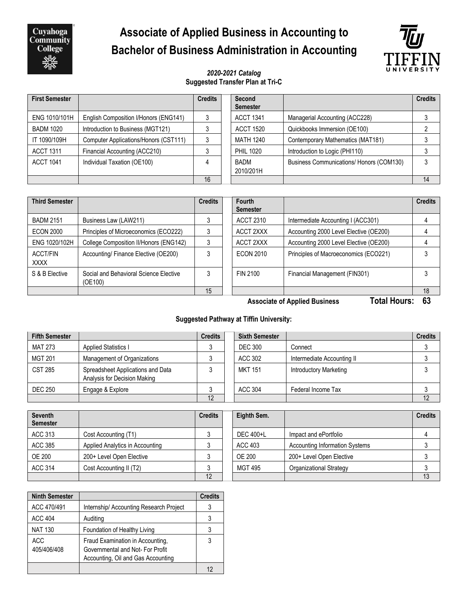Cuyahoga<br>Community **College** 

# **Associate of Applied Business in Accounting to Bachelor of Business Administration in Accounting**



#### *2020-2021 Catalog* **Suggested Transfer Plan at Tri-C**

| <b>First Semester</b>                             |                                       | <b>Credits</b> | Second<br><b>Semester</b> |                                          | <b>Credits</b> |
|---------------------------------------------------|---------------------------------------|----------------|---------------------------|------------------------------------------|----------------|
| ENG 1010/101H                                     | English Composition I/Honors (ENG141) |                | <b>ACCT 1341</b>          | Managerial Accounting (ACC228)           |                |
| <b>BADM 1020</b>                                  | Introduction to Business (MGT121)     |                | <b>ACCT 1520</b>          | Quickbooks Immersion (OE100)             |                |
| IT 1090/109H                                      | Computer Applications/Honors (CST111) | 3              | MATH 1240                 | Contemporary Mathematics (MAT181)        |                |
| Financial Accounting (ACC210)<br><b>ACCT 1311</b> |                                       |                | <b>PHIL 1020</b>          | Introduction to Logic (PHI110)           |                |
| <b>ACCT 1041</b>                                  | Individual Taxation (OE100)           | 4              | BADM<br>2010/201H         | Business Communications/ Honors (COM130) | ົ              |
|                                                   |                                       | 16             |                           |                                          | 14             |

| <b>Third Semester</b>   |                                                   | <b>Credits</b> | Fourth<br><b>Semester</b> |                                        | <b>Credits</b> |
|-------------------------|---------------------------------------------------|----------------|---------------------------|----------------------------------------|----------------|
| <b>BADM 2151</b>        | Business Law (LAW211)                             |                | ACCT 2310                 | Intermediate Accounting I (ACC301)     |                |
| <b>ECON 2000</b>        | Principles of Microeconomics (ECO222)             |                | ACCT 2XXX                 | Accounting 2000 Level Elective (OE200) |                |
| ENG 1020/102H           | College Composition II/Honors (ENG142)            |                | ACCT 2XXX                 | Accounting 2000 Level Elective (OE200) |                |
| ACCT/FIN<br><b>XXXX</b> | Accounting/ Finance Elective (OE200)              |                | <b>ECON 2010</b>          | Principles of Macroeconomics (ECO221)  |                |
| S & B Elective          | Social and Behavioral Science Elective<br>(OE100) |                | FIN 2100                  | Financial Management (FIN301)          |                |
|                         |                                                   | 15             |                           |                                        | 18             |

**Associate of Applied Business Total Hours: 63**

### **Suggested Pathway at Tiffin University:**

| <b>Fifth Semester</b> |                                                                   | <b>Credits</b> | <b>Sixth Semester</b> |                               | <b>Credits</b> |
|-----------------------|-------------------------------------------------------------------|----------------|-----------------------|-------------------------------|----------------|
| <b>MAT 273</b>        | <b>Applied Statistics I</b>                                       |                | <b>DEC 300</b>        | Connect                       |                |
| <b>MGT 201</b>        | Management of Organizations                                       |                | ACC 302               | Intermediate Accounting II    |                |
| <b>CST 285</b>        | Spreadsheet Applications and Data<br>Analysis for Decision Making |                | <b>MKT 151</b>        | <b>Introductory Marketing</b> |                |
| <b>DEC 250</b>        | Engage & Explore                                                  |                | ACC 304               | Federal Income Tax            |                |
|                       |                                                                   | 12             |                       |                               | 12             |

| <b>Seventh</b><br><b>Semester</b> |                                 | <b>Credits</b> | Eighth Sem. |                                | <b>Credits</b> |
|-----------------------------------|---------------------------------|----------------|-------------|--------------------------------|----------------|
| ACC 313                           | Cost Accounting (T1)            |                | DEC 400+L   | Impact and ePortfolio          |                |
| ACC 385                           | Applied Analytics in Accounting |                | ACC 403     | Accounting Information Systems |                |
| <b>OE 200</b>                     | 200+ Level Open Elective        |                | OE 200      | 200+ Level Open Elective       |                |
| <b>ACC 314</b>                    | Cost Accounting II (T2)         |                | MGT 495     | Organizational Strategy        |                |
|                                   |                                 | 12             |             |                                | 13             |

| <b>Ninth Semester</b>     |                                                                                                           | <b>Credits</b> |
|---------------------------|-----------------------------------------------------------------------------------------------------------|----------------|
| ACC 470/491               | Internship/ Accounting Research Project                                                                   | 3              |
| <b>ACC 404</b>            | Auditing                                                                                                  | 3              |
| <b>NAT 130</b>            | Foundation of Healthy Living                                                                              | 3              |
| <b>ACC</b><br>405/406/408 | Fraud Examination in Accounting,<br>Governmental and Not-For Profit<br>Accounting, Oil and Gas Accounting | 3              |
|                           |                                                                                                           | 12             |